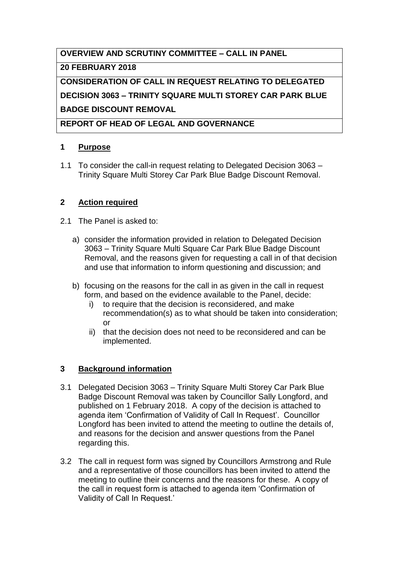# **OVERVIEW AND SCRUTINY COMMITTEE – CALL IN PANEL**

### **20 FEBRUARY 2018**

**CONSIDERATION OF CALL IN REQUEST RELATING TO DELEGATED DECISION 3063 – TRINITY SQUARE MULTI STOREY CAR PARK BLUE BADGE DISCOUNT REMOVAL**

**REPORT OF HEAD OF LEGAL AND GOVERNANCE**

## **1 Purpose**

1.1 To consider the call-in request relating to Delegated Decision 3063 – Trinity Square Multi Storey Car Park Blue Badge Discount Removal.

## **2 Action required**

- 2.1 The Panel is asked to:
	- a) consider the information provided in relation to Delegated Decision 3063 – Trinity Square Multi Square Car Park Blue Badge Discount Removal, and the reasons given for requesting a call in of that decision and use that information to inform questioning and discussion; and
	- b) focusing on the reasons for the call in as given in the call in request form, and based on the evidence available to the Panel, decide:
		- i) to require that the decision is reconsidered, and make recommendation(s) as to what should be taken into consideration; or
		- ii) that the decision does not need to be reconsidered and can be implemented.

## **3 Background information**

- 3.1 Delegated Decision 3063 Trinity Square Multi Storey Car Park Blue Badge Discount Removal was taken by Councillor Sally Longford, and published on 1 February 2018. A copy of the decision is attached to agenda item 'Confirmation of Validity of Call In Request'. Councillor Longford has been invited to attend the meeting to outline the details of, and reasons for the decision and answer questions from the Panel regarding this.
- 3.2 The call in request form was signed by Councillors Armstrong and Rule and a representative of those councillors has been invited to attend the meeting to outline their concerns and the reasons for these. A copy of the call in request form is attached to agenda item 'Confirmation of Validity of Call In Request.'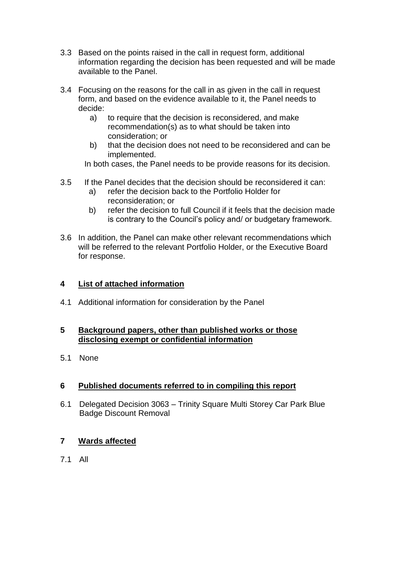- 3.3 Based on the points raised in the call in request form, additional information regarding the decision has been requested and will be made available to the Panel.
- 3.4 Focusing on the reasons for the call in as given in the call in request form, and based on the evidence available to it, the Panel needs to decide:
	- a) to require that the decision is reconsidered, and make recommendation(s) as to what should be taken into consideration; or
	- b) that the decision does not need to be reconsidered and can be implemented.

In both cases, the Panel needs to be provide reasons for its decision.

- 3.5 If the Panel decides that the decision should be reconsidered it can:
	- a) refer the decision back to the Portfolio Holder for reconsideration; or
	- b) refer the decision to full Council if it feels that the decision made is contrary to the Council's policy and/ or budgetary framework.
- 3.6 In addition, the Panel can make other relevant recommendations which will be referred to the relevant Portfolio Holder, or the Executive Board for response.

#### **4 List of attached information**

4.1 Additional information for consideration by the Panel

#### **5 Background papers, other than published works or those disclosing exempt or confidential information**

5.1 None

#### **6 Published documents referred to in compiling this report**

6.1 Delegated Decision 3063 – Trinity Square Multi Storey Car Park Blue Badge Discount Removal

#### **7 Wards affected**

7.1 All